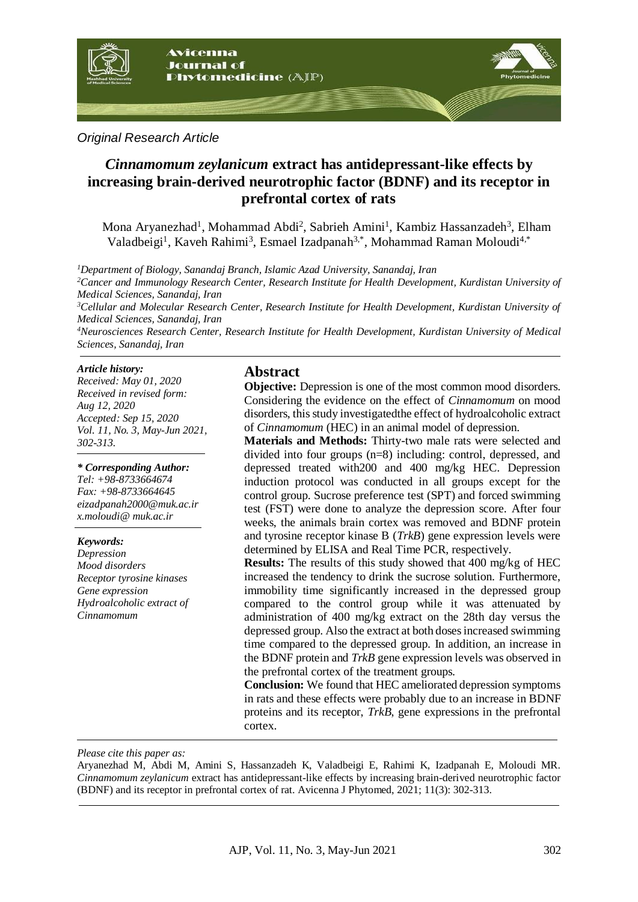

## *Original Research Article*

# *Cinnamomum zeylanicum* **extract has antidepressant-like effects by increasing brain-derived neurotrophic factor (BDNF) and its receptor in prefrontal cortex of rats**

Mona Aryanezhad<sup>1</sup>, Mohammad Abdi<sup>2</sup>, Sabrieh Amini<sup>1</sup>, Kambiz Hassanzadeh<sup>3</sup>, Elham Valadbeigi<sup>1</sup>, Kaveh Rahimi<sup>3</sup>, Esmael Izadpanah<sup>3,\*</sup>, Mohammad Raman Moloudi<sup>4,\*</sup>

*<sup>1</sup>Department of Biology, Sanandaj Branch, Islamic Azad University, Sanandaj, Iran <sup>2</sup>Cancer and Immunology Research Center, Research Institute for Health Development, Kurdistan University of Medical Sciences, Sanandaj, Iran <sup>3</sup>Cellular and Molecular Research Center, Research Institute for Health Development, Kurdistan University of Medical Sciences, Sanandaj, Iran*

*<sup>4</sup>Neurosciences Research Center, Research Institute for Health Development, Kurdistan University of Medical Sciences, Sanandaj, Iran*

#### *Article history:*

*Received: May 01, 2020 Received in revised form: Aug 12, 2020 Accepted: Sep 15, 2020 Vol. 11, No. 3, May-Jun 2021, 302-313.*

#### *\* Corresponding Author:*

*Tel: +98-8733664674 Fax: +98-8733664645 eizadpanah2000@muk.ac.ir x.moloudi@ muk.ac.ir*

#### *Keywords:*

*Depression Mood disorders Receptor tyrosine kinases Gene expression Hydroalcoholic extract of Cinnamomum* 

## **Abstract**

**Objective:** Depression is one of the most common mood disorders. Considering the evidence on the effect of *Cinnamomum* on mood disorders, this study investigatedthe effect of hydroalcoholic extract of *Cinnamomum* (HEC) in an animal model of depression.

**Materials and Methods:** Thirty-two male rats were selected and divided into four groups (n=8) including: control, depressed, and depressed treated with200 and 400 mg/kg HEC. Depression induction protocol was conducted in all groups except for the control group. Sucrose preference test (SPT) and forced swimming test (FST) were done to analyze the depression score. After four weeks, the animals brain cortex was removed and BDNF protein and tyrosine receptor kinase B (*TrkB*) gene expression levels were determined by ELISA and Real Time PCR, respectively.

**Results:** The results of this study showed that 400 mg/kg of HEC increased the tendency to drink the sucrose solution. Furthermore, immobility time significantly increased in the depressed group compared to the control group while it was attenuated by administration of 400 mg/kg extract on the 28th day versus the depressed group. Also the extract at both doses increased swimming time compared to the depressed group. In addition, an increase in the BDNF protein and *TrkB* gene expression levels was observed in the prefrontal cortex of the treatment groups.

**Conclusion:** We found that HEC ameliorated depression symptoms in rats and these effects were probably due to an increase in BDNF proteins and its receptor, *TrkB*, gene expressions in the prefrontal cortex.

*Please cite this paper as:* 

Aryanezhad M, Abdi M, Amini S, Hassanzadeh K, Valadbeigi E, Rahimi K, Izadpanah E, Moloudi MR. *Cinnamomum zeylanicum* extract has antidepressant-like effects by increasing brain-derived neurotrophic factor (BDNF) and its receptor in prefrontal cortex of rat. Avicenna J Phytomed, 2021; 11(3): 302-313.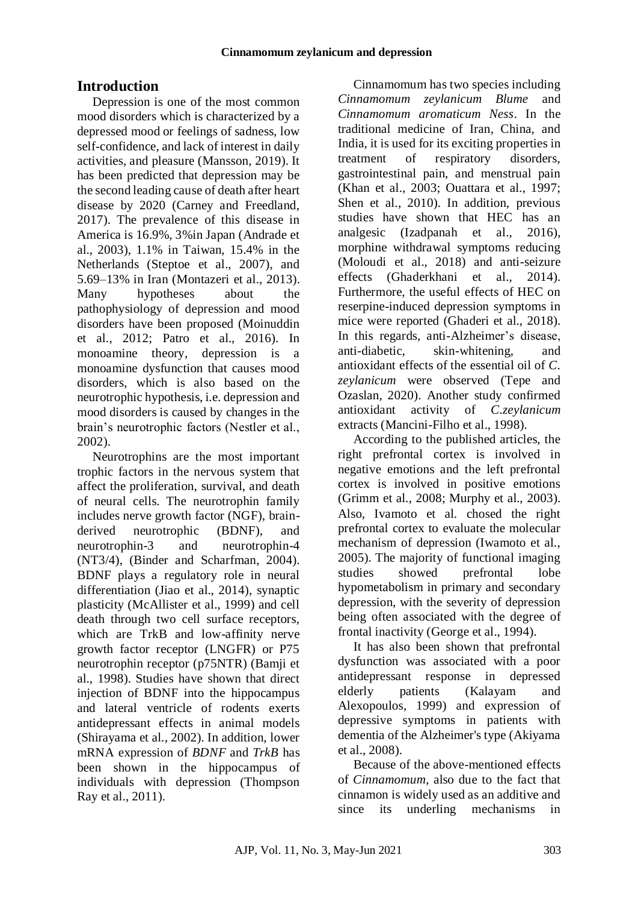# **Introduction**

Depression is one of the most common mood disorders which is characterized by a depressed mood or feelings of sadness, low self-confidence, and lack of interest in daily activities, and pleasure (Mansson, 2019). It has been predicted that depression may be the second leading cause of death after heart disease by 2020 (Carney and Freedland, 2017). The prevalence of this disease in America is 16.9%, 3%in Japan (Andrade et al., 2003), 1.1% in Taiwan, 15.4% in the Netherlands (Steptoe et al., 2007), and 5.69–13% in Iran (Montazeri et al., 2013). Many hypotheses about the pathophysiology of depression and mood disorders have been proposed (Moinuddin et al., 2012; Patro et al., 2016). In monoamine theory, depression is a monoamine dysfunction that causes mood disorders, which is also based on the neurotrophic hypothesis, i.e. depression and mood disorders is caused by changes in the brain's neurotrophic factors (Nestler et al., 2002).

Neurotrophins are the most important trophic factors in the nervous system that affect the proliferation, survival, and death of neural cells. The neurotrophin family includes nerve growth factor (NGF), brainderived neurotrophic (BDNF), and neurotrophin-3 and neurotrophin-4 (NT3/4), (Binder and Scharfman, 2004). BDNF plays a regulatory role in neural differentiation (Jiao et al., 2014), synaptic plasticity (McAllister et al., 1999) and cell death through two cell surface receptors, which are TrkB and low-affinity nerve growth factor receptor (LNGFR) or P75 neurotrophin receptor (p75NTR) (Bamji et al., 1998). Studies have shown that direct injection of BDNF into the hippocampus and lateral ventricle of rodents exerts antidepressant effects in animal models (Shirayama et al., 2002). In addition, lower mRNA expression of *BDNF* and *TrkB* has been shown in the hippocampus of individuals with depression (Thompson Ray et al., 2011).

Cinnamomum has two species including *Cinnamomum zeylanicum Blume* and *Cinnamomum aromaticum Ness*. In the traditional medicine of Iran, China, and India, it is used for its exciting properties in treatment of respiratory disorders, gastrointestinal pain, and menstrual pain (Khan et al., 2003; Ouattara et al., 1997; Shen et al., 2010). In addition, previous studies have shown that HEC has an analgesic (Izadpanah et al., 2016), morphine withdrawal symptoms reducing (Moloudi et al., 2018) and anti-seizure effects (Ghaderkhani et al., 2014). Furthermore, the useful effects of HEC on reserpine-induced depression symptoms in mice were reported (Ghaderi et al., 2018). In this regards, anti-Alzheimer's disease, anti-diabetic, skin-whitening, and antioxidant effects of the essential oil of *C. zeylanicum* were observed (Tepe and Ozaslan, 2020). Another study confirmed antioxidant activity of *C.zeylanicum*  extracts (Mancini-Filho et al., 1998).

According to the published articles, the right prefrontal cortex is involved in negative emotions and the left prefrontal cortex is involved in positive emotions (Grimm et al., 2008; Murphy et al., 2003). Also, Ivamoto et al. chosed the right prefrontal cortex to evaluate the molecular mechanism of depression (Iwamoto et al., 2005). The majority of functional imaging studies showed prefrontal lobe hypometabolism in primary and secondary depression, with the severity of depression being often associated with the degree of frontal inactivity (George et al., 1994).

It has also been shown that prefrontal dysfunction was associated with a poor antidepressant response in depressed elderly patients (Kalayam and Alexopoulos, 1999) and expression of depressive symptoms in patients with dementia of the Alzheimer's type (Akiyama et al., 2008).

Because of the above-mentioned effects of *Cinnamomum*, also due to the fact that cinnamon is widely used as an additive and since its underling mechanisms in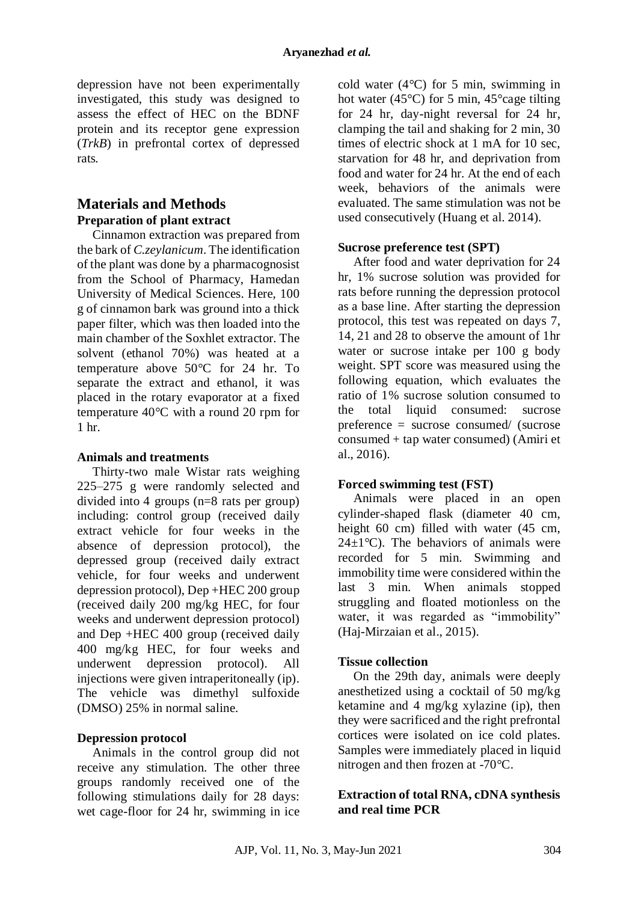depression have not been experimentally investigated, this study was designed to assess the effect of HEC on the BDNF protein and its receptor gene expression (*TrkB*) in prefrontal cortex of depressed rats.

## **Materials and Methods Preparation of plant extract**

Cinnamon extraction was prepared from the bark of *C.zeylanicum*. The identification of the plant was done by a pharmacognosist from the School of Pharmacy, Hamedan University of Medical Sciences. Here, 100 g of cinnamon bark was ground into a thick paper filter, which was then loaded into the main chamber of the Soxhlet extractor. The solvent (ethanol 70%) was heated at a temperature above 50°C for 24 hr. To separate the extract and ethanol, it was placed in the rotary evaporator at a fixed temperature 40°C with a round 20 rpm for 1 hr.

#### **Animals and treatments**

Thirty-two male Wistar rats weighing 225–275 g were randomly selected and divided into 4 groups (n=8 rats per group) including: control group (received daily extract vehicle for four weeks in the absence of depression protocol), the depressed group (received daily extract vehicle, for four weeks and underwent depression protocol), Dep +HEC 200 group (received daily 200 mg/kg HEC, for four weeks and underwent depression protocol) and Dep +HEC 400 group (received daily 400 mg/kg HEC, for four weeks and underwent depression protocol). All injections were given intraperitoneally (ip). The vehicle was dimethyl sulfoxide (DMSO) 25% in normal saline.

#### **Depression protocol**

Animals in the control group did not receive any stimulation. The other three groups randomly received one of the following stimulations daily for 28 days: wet cage-floor for 24 hr, swimming in ice

cold water  $(4^{\circ}C)$  for 5 min, swimming in hot water (45 $^{\circ}$ C) for 5 min, 45 $^{\circ}$ cage tilting for 24 hr, day-night reversal for 24 hr, clamping the tail and shaking for 2 min, 30 times of electric shock at 1 mA for 10 sec, starvation for 48 hr, and deprivation from food and water for 24 hr. At the end of each week, behaviors of the animals were evaluated. The same stimulation was not be used consecutively (Huang et al. 2014).

### **Sucrose preference test (SPT)**

After food and water deprivation for 24 hr, 1% sucrose solution was provided for rats before running the depression protocol as a base line. After starting the depression protocol, this test was repeated on days 7, 14, 21 and 28 to observe the amount of 1hr water or sucrose intake per 100 g body weight. SPT score was measured using the following equation, which evaluates the ratio of 1% sucrose solution consumed to the total liquid consumed: sucrose preference = sucrose consumed/ (sucrose consumed + tap water consumed) (Amiri et al., 2016).

## **Forced swimming test (FST)**

Animals were placed in an open cylinder-shaped flask (diameter 40 cm, height 60 cm) filled with water (45 cm,  $24\pm1$ °C). The behaviors of animals were recorded for 5 min. Swimming and immobility time were considered within the last 3 min. When animals stopped struggling and floated motionless on the water, it was regarded as "immobility" (Haj-Mirzaian et al., 2015).

## **Tissue collection**

On the 29th day, animals were deeply anesthetized using a cocktail of 50 mg/kg ketamine and 4 mg/kg xylazine (ip), then they were sacrificed and the right prefrontal cortices were isolated on ice cold plates. Samples were immediately placed in liquid nitrogen and then frozen at -70°C.

### **Extraction of total RNA, cDNA synthesis and real time PCR**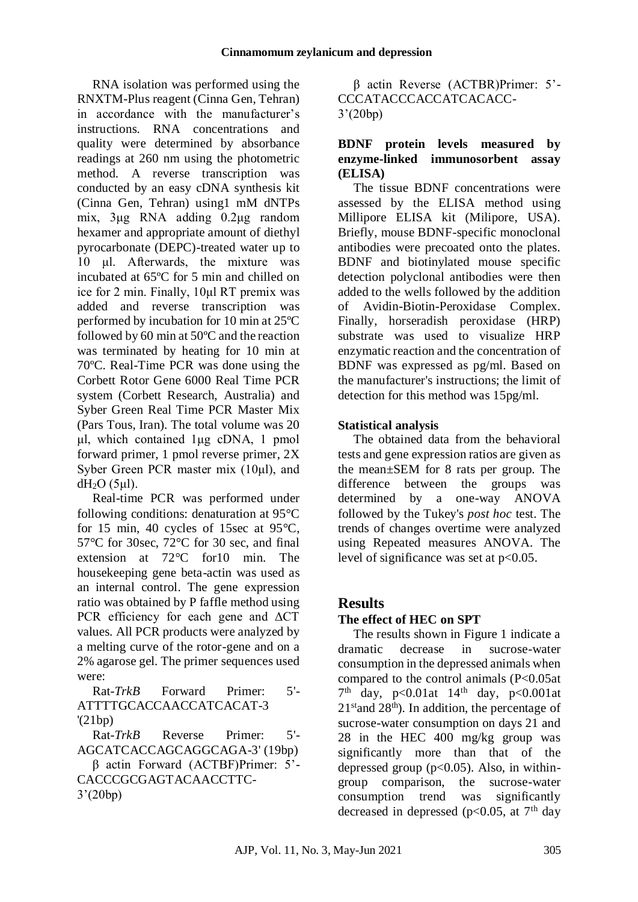RNA isolation was performed using the RNXTM-Plus reagent (Cinna Gen, Tehran) in accordance with the manufacturer's instructions. RNA concentrations and quality were determined by absorbance readings at 260 nm using the photometric method. A reverse transcription was conducted by an easy cDNA synthesis kit (Cinna Gen, Tehran) using1 mM dNTPs mix, 3μg RNA adding 0.2μg random hexamer and appropriate amount of diethyl pyrocarbonate (DEPC)-treated water up to 10 μl. Afterwards, the mixture was incubated at 65ºC for 5 min and chilled on ice for 2 min. Finally, 10μl RT premix was added and reverse transcription was performed by incubation for 10 min at 25ºC followed by 60 min at 50ºC and the reaction was terminated by heating for 10 min at 70ºC. Real-Time PCR was done using the Corbett Rotor Gene 6000 Real Time PCR system (Corbett Research, Australia) and Syber Green Real Time PCR Master Mix (Pars Tous, Iran). The total volume was 20 μl, which contained 1μg cDNA, 1 pmol forward primer, 1 pmol reverse primer, 2X Syber Green PCR master mix (10μl), and  $dH<sub>2</sub>O$  (5µl).

Real-time PCR was performed under following conditions: denaturation at 95°C for 15 min, 40 cycles of 15sec at 95°C, 57°C for 30sec, 72°C for 30 sec, and final extension at 72°C for10 min. The housekeeping gene beta-actin was used as an internal control. The gene expression ratio was obtained by P faffle method using PCR efficiency for each gene and ΔCT values. All PCR products were analyzed by a melting curve of the rotor-gene and on a 2% agarose gel. The primer sequences used were:

Rat-*TrkB* Forward Primer: 5'- ATTTTGCACCAACCATCACAT-3 '(21bp)

Rat-*TrkB* Reverse Primer: 5'- AGCATCACCAGCAGGCAGA-3' (19bp) β actin Forward (ACTBF)Primer: 5'-

CACCCGCGAGTACAACCTTC-3'(20bp)

β actin Reverse (ACTBR)Primer: 5'- CCCATACCCACCATCACACC-3'(20bp)

## **BDNF protein levels measured by enzyme-linked immunosorbent assay (ELISA)**

The tissue BDNF concentrations were assessed by the ELISA method using Millipore ELISA kit (Milipore, USA). Briefly, mouse BDNF-specific monoclonal antibodies were precoated onto the plates. BDNF and biotinylated mouse specific detection polyclonal antibodies were then added to the wells followed by the addition of Avidin-Biotin-Peroxidase Complex. Finally, horseradish peroxidase (HRP) substrate was used to visualize HRP enzymatic reaction and the concentration of BDNF was expressed as pg/ml. Based on the manufacturer's instructions; the limit of detection for this method was 15pg/ml.

## **Statistical analysis**

The obtained data from the behavioral tests and gene expression ratios are given as the mean±SEM for 8 rats per group. The difference between the groups was determined by a one-way ANOVA followed by the Tukey's *post hoc* test. The trends of changes overtime were analyzed using Repeated measures ANOVA. The level of significance was set at  $p<0.05$ .

# **Results**

## **The effect of HEC on SPT**

The results shown in Figure 1 indicate a dramatic decrease in sucrose-water consumption in the depressed animals when compared to the control animals (P<0.05at  $7<sup>th</sup>$  day, p<0.01at 14<sup>th</sup> day, p<0.001at  $21<sup>st</sup>$  and  $28<sup>th</sup>$ ). In addition, the percentage of sucrose-water consumption on days 21 and 28 in the HEC 400 mg/kg group was significantly more than that of the depressed group  $(p<0.05)$ . Also, in withingroup comparison, the sucrose-water consumption trend was significantly decreased in depressed ( $p<0.05$ , at  $7<sup>th</sup>$  day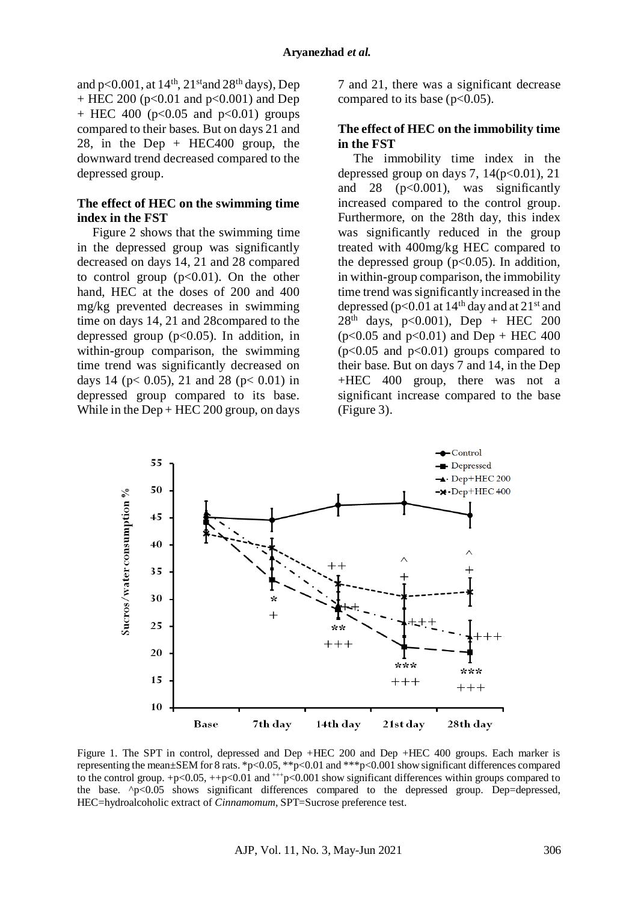and p<0.001, at  $14<sup>th</sup>$ ,  $21<sup>st</sup>$  and  $28<sup>th</sup>$  days), Dep + HEC 200 ( $p<0.01$  and  $p<0.001$ ) and Dep  $+$  HEC 400 (p<0.05 and p<0.01) groups compared to their bases. But on days 21 and 28, in the Dep  $+$  HEC400 group, the downward trend decreased compared to the depressed group.

#### **The effect of HEC on the swimming time index in the FST**

Figure 2 shows that the swimming time in the depressed group was significantly decreased on days 14, 21 and 28 compared to control group  $(p<0.01)$ . On the other hand, HEC at the doses of 200 and 400 mg/kg prevented decreases in swimming time on days 14, 21 and 28compared to the depressed group  $(p<0.05)$ . In addition, in within-group comparison, the swimming time trend was significantly decreased on days 14 ( $p < 0.05$ ), 21 and 28 ( $p < 0.01$ ) in depressed group compared to its base. While in the  $Dep + HEC 200$  group, on days 7 and 21, there was a significant decrease compared to its base ( $p<0.05$ ).

#### **The effect of HEC on the immobility time in the FST**

The immobility time index in the depressed group on days 7,  $14(p<0.01)$ , 21 and  $28 \text{ (p<0.001)}, \text{was significantly}$ increased compared to the control group. Furthermore, on the 28th day, this index was significantly reduced in the group treated with 400mg/kg HEC compared to the depressed group ( $p<0.05$ ). In addition, in within-group comparison, the immobility time trend was significantly increased in the depressed ( $p<0.01$  at  $14<sup>th</sup>$  day and at  $21<sup>st</sup>$  and  $28<sup>th</sup>$  days, p<0.001), Dep + HEC 200  $(p<0.05$  and  $p<0.01$  and Dep + HEC 400  $(p<0.05$  and  $p<0.01$ ) groups compared to their base. But on days 7 and 14, in the Dep +HEC 400 group, there was not a significant increase compared to the base (Figure 3).



Figure 1. The SPT in control, depressed and Dep +HEC 200 and Dep +HEC 400 groups. Each marker is representing the mean±SEM for 8 rats. \*p<0.05, \*\*p<0.01 and \*\*\*p<0.001 show significant differences compared to the control group.  $+p<0.05$ ,  $++p<0.01$  and  $^{++}p<0.001$  show significant differences within groups compared to the base. ^p<0.05 shows significant differences compared to the depressed group. Dep=depressed, HEC=hydroalcoholic extract of *Cinnamomum*, SPT=Sucrose preference test.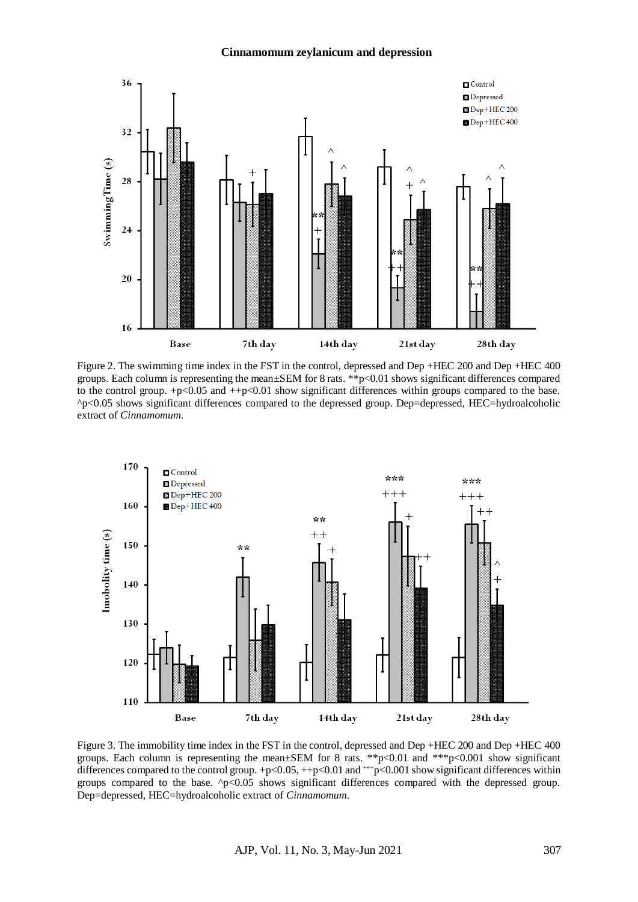#### **Cinnamomum zeylanicum and depression**



Figure 2. The swimming time index in the FST in the control, depressed and Dep +HEC 200 and Dep +HEC 400 groups. Each column is representing the mean±SEM for 8 rats. \*\*p<0.01 shows significant differences compared to the control group.  $+p<0.05$  and  $+p<0.01$  show significant differences within groups compared to the base. ^p<0.05 shows significant differences compared to the depressed group. Dep=depressed, HEC=hydroalcoholic extract of *Cinnamomum*.



Figure 3. The immobility time index in the FST in the control, depressed and Dep +HEC 200 and Dep +HEC 400 groups. Each column is representing the mean±SEM for 8 rats. \*\*p<0.01 and \*\*\*p<0.001 show significant differences compared to the control group. +p<0.05, ++p<0.01 and +++p<0.001 show significant differences within groups compared to the base.  $\gamma$   $\sim$  0.05 shows significant differences compared with the depressed group. Dep=depressed, HEC=hydroalcoholic extract of *Cinnamomum*.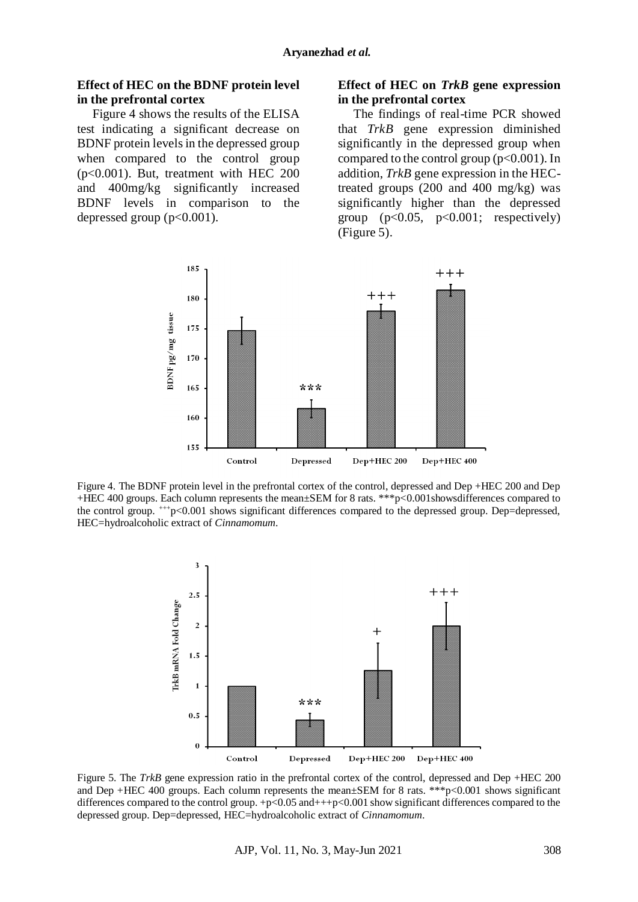#### **Effect of HEC on the BDNF protein level in the prefrontal cortex**

Figure 4 shows the results of the ELISA test indicating a significant decrease on BDNF protein levels in the depressed group when compared to the control group (p<0.001). But, treatment with HEC 200 and 400mg/kg significantly increased BDNF levels in comparison to the depressed group  $(p<0.001)$ .

#### **Effect of HEC on** *TrkB* **gene expression in the prefrontal cortex**

The findings of real-time PCR showed that *TrkB* gene expression diminished significantly in the depressed group when compared to the control group ( $p<0.001$ ). In addition, *TrkB* gene expression in the HECtreated groups (200 and 400 mg/kg) was significantly higher than the depressed group  $(p<0.05, p<0.001$ ; respectively) (Figure 5).



Figure 4. The BDNF protein level in the prefrontal cortex of the control, depressed and Dep +HEC 200 and Dep +HEC 400 groups. Each column represents the mean±SEM for 8 rats. \*\*\*p<0.001showsdifferences compared to the control group.  $^{++}$ p<0.001 shows significant differences compared to the depressed group. Dep=depressed, HEC=hydroalcoholic extract of *Cinnamomum*.



Figure 5. The *TrkB* gene expression ratio in the prefrontal cortex of the control, depressed and Dep +HEC 200 and Dep +HEC 400 groups. Each column represents the mean $\pm$ SEM for 8 rats. \*\*\*p<0.001 shows significant differences compared to the control group.  $+p<0.05$  and  $++p<0.001$  show significant differences compared to the depressed group. Dep=depressed, HEC=hydroalcoholic extract of *Cinnamomum*.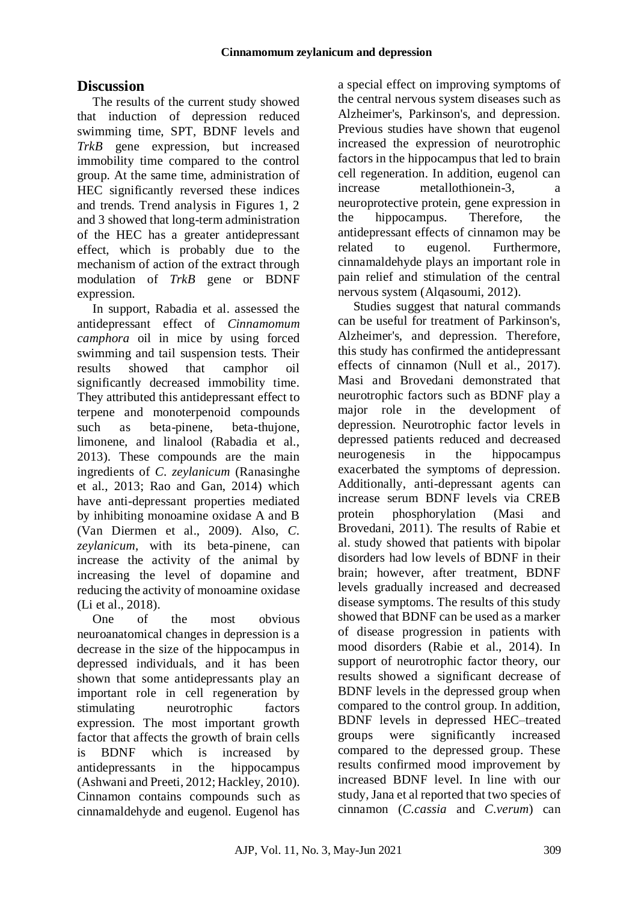# **Discussion**

The results of the current study showed that induction of depression reduced swimming time, SPT, BDNF levels and *TrkB* gene expression, but increased immobility time compared to the control group. At the same time, administration of HEC significantly reversed these indices and trends. Trend analysis in Figures 1, 2 and 3 showed that long-term administration of the HEC has a greater antidepressant effect, which is probably due to the mechanism of action of the extract through modulation of *TrkB* gene or BDNF expression.

In support, Rabadia et al. assessed the antidepressant effect of *Cinnamomum camphora* oil in mice by using forced swimming and tail suspension tests. Their results showed that camphor oil significantly decreased immobility time. They attributed this antidepressant effect to terpene and monoterpenoid compounds such as beta-pinene, beta-thujone, limonene, and linalool (Rabadia et al., 2013). These compounds are the main ingredients of *C. zeylanicum* (Ranasinghe et al., 2013; Rao and Gan, 2014) which have anti-depressant properties mediated by inhibiting monoamine oxidase A and B (Van Diermen et al., 2009). Also, *C. zeylanicum*, with its beta-pinene, can increase the activity of the animal by increasing the level of dopamine and reducing the activity of monoamine oxidase (Li et al., 2018).

One of the most obvious neuroanatomical changes in depression is a decrease in the size of the hippocampus in depressed individuals, and it has been shown that some antidepressants play an important role in cell regeneration by stimulating neurotrophic factors expression. The most important growth factor that affects the growth of brain cells is BDNF which is increased by antidepressants in the hippocampus (Ashwani and Preeti, 2012; Hackley, 2010). Cinnamon contains compounds such as cinnamaldehyde and eugenol. Eugenol has

a special effect on improving symptoms of the central nervous system diseases such as Alzheimer's, Parkinson's, and depression. Previous studies have shown that eugenol increased the expression of neurotrophic factors in the hippocampus that led to brain cell regeneration. In addition, eugenol can increase metallothionein-3, a neuroprotective protein, gene expression in the hippocampus. Therefore, the antidepressant effects of cinnamon may be related to eugenol. Furthermore, cinnamaldehyde plays an important role in pain relief and stimulation of the central nervous system (Alqasoumi, 2012).

Studies suggest that natural commands can be useful for treatment of Parkinson's, Alzheimer's, and depression. Therefore, this study has confirmed the antidepressant effects of cinnamon (Null et al., 2017). Masi and Brovedani demonstrated that neurotrophic factors such as BDNF play a major role in the development of depression. Neurotrophic factor levels in depressed patients reduced and decreased neurogenesis in the hippocampus exacerbated the symptoms of depression. Additionally, anti-depressant agents can increase serum BDNF levels via CREB protein phosphorylation (Masi and Brovedani, 2011). The results of Rabie et al. study showed that patients with bipolar disorders had low levels of BDNF in their brain; however, after treatment, BDNF levels gradually increased and decreased disease symptoms. The results of this study showed that BDNF can be used as a marker of disease progression in patients with mood disorders (Rabie et al., 2014). In support of neurotrophic factor theory, our results showed a significant decrease of BDNF levels in the depressed group when compared to the control group. In addition, BDNF levels in depressed HEC–treated groups were significantly increased compared to the depressed group. These results confirmed mood improvement by increased BDNF level. In line with our study, Jana et al reported that two species of cinnamon (*C.cassia* and *C.verum*) can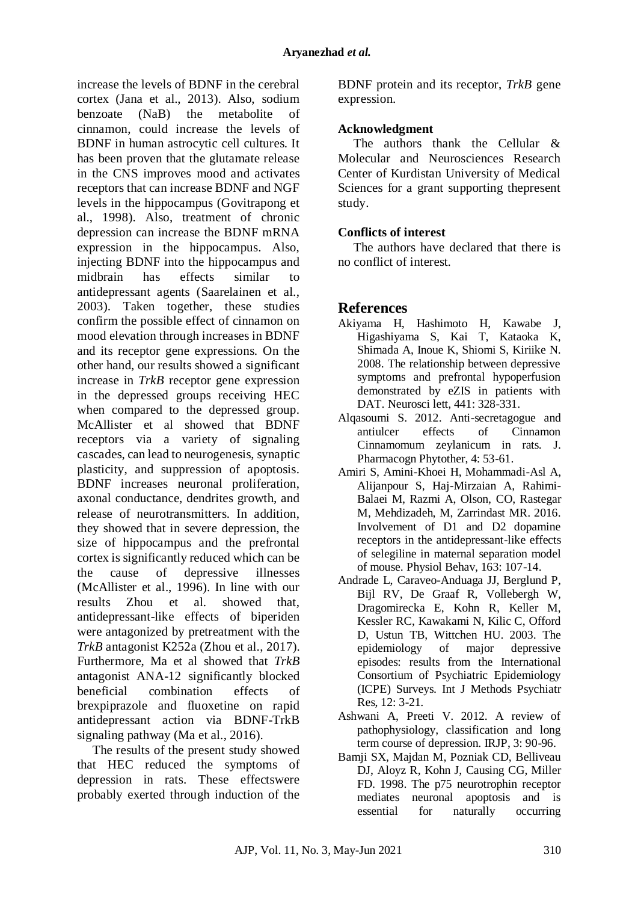increase the levels of BDNF in the cerebral cortex (Jana et al., 2013). Also, sodium benzoate (NaB) the metabolite of cinnamon, could increase the levels of BDNF in human astrocytic cell cultures. It has been proven that the glutamate release in the CNS improves mood and activates receptors that can increase BDNF and NGF levels in the hippocampus (Govitrapong et al., 1998). Also, treatment of chronic depression can increase the BDNF mRNA expression in the hippocampus. Also, injecting BDNF into the hippocampus and midbrain has effects similar to antidepressant agents (Saarelainen et al., 2003). Taken together, these studies confirm the possible effect of cinnamon on mood elevation through increases in BDNF and its receptor gene expressions. On the other hand, our results showed a significant increase in *TrkB* receptor gene expression in the depressed groups receiving HEC when compared to the depressed group. McAllister et al showed that BDNF receptors via a variety of signaling cascades, can lead to neurogenesis, synaptic plasticity, and suppression of apoptosis. BDNF increases neuronal proliferation, axonal conductance, dendrites growth, and release of neurotransmitters. In addition, they showed that in severe depression, the size of hippocampus and the prefrontal cortex is significantly reduced which can be the cause of depressive illnesses (McAllister et al., 1996). In line with our results Zhou et al. showed that, antidepressant-like effects of biperiden were antagonized by pretreatment with the *TrkB* antagonist K252a (Zhou et al., 2017). Furthermore, Ma et al showed that *TrkB* antagonist ANA-12 significantly blocked beneficial combination effects of brexpiprazole and fluoxetine on rapid antidepressant action via BDNF-TrkB signaling pathway (Ma et al., 2016).

The results of the present study showed that HEC reduced the symptoms of depression in rats. These effectswere probably exerted through induction of the BDNF protein and its receptor, *TrkB* gene expression.

### **Acknowledgment**

The authors thank the Cellular & Molecular and Neurosciences Research Center of Kurdistan University of Medical Sciences for a grant supporting thepresent study.

## **Conflicts of interest**

The authors have declared that there is no conflict of interest.

## **References**

- Akiyama H, Hashimoto H, Kawabe J, Higashiyama S, Kai T, Kataoka K, Shimada A, Inoue K, Shiomi S, Kiriike N. 2008. The relationship between depressive symptoms and prefrontal hypoperfusion demonstrated by eZIS in patients with DAT. Neurosci lett, 441: 328-331.
- Alqasoumi S. 2012. Anti-secretagogue and antiulcer effects of Cinnamon Cinnamomum zeylanicum in rats. J. Pharmacogn Phytother, 4: 53-61.
- Amiri S, Amini-Khoei H, Mohammadi-Asl A, Alijanpour S, Haj-Mirzaian A, Rahimi-Balaei M, Razmi A, Olson, CO, Rastegar M, Mehdizadeh, M, Zarrindast MR. 2016. Involvement of D1 and D2 dopamine receptors in the antidepressant-like effects of selegiline in maternal separation model of mouse. Physiol Behav, 163: 107-14.
- Andrade L, Caraveo-Anduaga JJ, Berglund P, Bijl RV, De Graaf R, Vollebergh W, Dragomirecka E, Kohn R, Keller M, Kessler RC, Kawakami N, Kilic C, Offord D, Ustun TB, Wittchen HU. 2003. The epidemiology of major depressive episodes: results from the International Consortium of Psychiatric Epidemiology (ICPE) Surveys. Int J Methods Psychiatr Res, 12: 3-21.
- Ashwani A, Preeti V. 2012. A review of pathophysiology, classification and long term course of depression. IRJP, 3: 90-96.
- Bamji SX, Majdan M, Pozniak CD, Belliveau DJ, Aloyz R, Kohn J, Causing CG, Miller FD. 1998. The p75 neurotrophin receptor mediates neuronal apoptosis and is essential for naturally occurring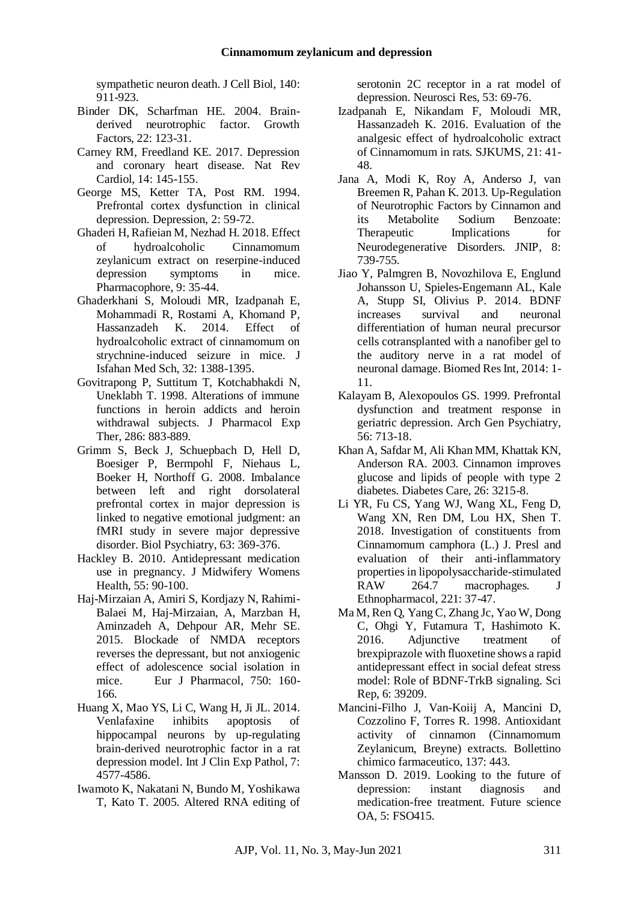sympathetic neuron death. J Cell Biol, 140: 911-923.

- Binder DK, Scharfman HE. 2004. Brainderived neurotrophic factor. Growth Factors, 22: 123-31.
- Carney RM, Freedland KE. 2017. Depression and coronary heart disease. Nat Rev Cardiol, 14: 145-155.
- George MS, Ketter TA, Post RM. 1994. Prefrontal cortex dysfunction in clinical depression. Depression, 2: 59-72.
- Ghaderi H, Rafieian M, Nezhad H. 2018. Effect of hydroalcoholic Cinnamomum zeylanicum extract on reserpine-induced depression symptoms in mice. Pharmacophore, 9: 35-44.
- Ghaderkhani S, Moloudi MR, Izadpanah E, Mohammadi R, Rostami A, Khomand P, Hassanzadeh K. 2014. Effect of hydroalcoholic extract of cinnamomum on strychnine-induced seizure in mice. J Isfahan Med Sch, 32: 1388-1395.
- Govitrapong P, Suttitum T, Kotchabhakdi N, Uneklabh T. 1998. Alterations of immune functions in heroin addicts and heroin withdrawal subjects. J Pharmacol Exp Ther, 286: 883-889.
- Grimm S, Beck J, Schuepbach D, Hell D, Boesiger P, Bermpohl F, Niehaus L, Boeker H, Northoff G. 2008. Imbalance between left and right dorsolateral prefrontal cortex in major depression is linked to negative emotional judgment: an fMRI study in severe major depressive disorder. Biol Psychiatry, 63: 369-376.
- Hackley B. 2010. Antidepressant medication use in pregnancy. J Midwifery Womens Health, 55: 90-100.
- Haj-Mirzaian A, Amiri S, Kordjazy N, Rahimi-Balaei M, Haj-Mirzaian, A, Marzban H, Aminzadeh A, Dehpour AR, Mehr SE. 2015. Blockade of NMDA receptors reverses the depressant, but not anxiogenic effect of adolescence social isolation in mice. Eur J Pharmacol, 750: 160- 166.
- Huang X, Mao YS, Li C, Wang H, Ji JL. 2014. Venlafaxine inhibits apoptosis of hippocampal neurons by up-regulating brain-derived neurotrophic factor in a rat depression model. Int J Clin Exp Pathol, 7: 4577-4586.
- Iwamoto K, Nakatani N, Bundo M, Yoshikawa T, Kato T. 2005. Altered RNA editing of

serotonin 2C receptor in a rat model of depression. Neurosci Res, 53: 69-76.

- Izadpanah E, Nikandam F, Moloudi MR, Hassanzadeh K. 2016. Evaluation of the analgesic effect of hydroalcoholic extract of Cinnamomum in rats. SJKUMS, 21: 41- 48.
- Jana A, Modi K, Roy A, Anderso J, van Breemen R, Pahan K. 2013. Up-Regulation of Neurotrophic Factors by Cinnamon and<br>
its Metabolite Sodium Benzoate: its Metabolite Therapeutic Implications for Neurodegenerative Disorders. JNIP, 8: 739-755.
- Jiao Y, Palmgren B, Novozhilova E, Englund Johansson U, Spieles-Engemann AL, Kale A, Stupp SI, Olivius P. 2014. BDNF<br>increases survival and neuronal increases survival and neuronal differentiation of human neural precursor cells cotransplanted with a nanofiber gel to the auditory nerve in a rat model of neuronal damage. Biomed Res Int, 2014: 1- 11.
- Kalayam B, Alexopoulos GS. 1999. Prefrontal dysfunction and treatment response in geriatric depression. Arch Gen Psychiatry, 56: 713-18.
- Khan A, Safdar M, Ali Khan MM, Khattak KN, Anderson RA. 2003. Cinnamon improves glucose and lipids of people with type 2 diabetes. Diabetes Care, 26: 3215-8.
- Li YR, Fu CS, Yang WJ, Wang XL, Feng D, Wang XN, Ren DM, Lou HX, Shen T. 2018. Investigation of constituents from Cinnamomum camphora (L.) J. Presl and evaluation of their anti-inflammatory properties in lipopolysaccharide-stimulated RAW 264.7 macrophages. J Ethnopharmacol, 221: 37-47.
- Ma M, Ren Q, Yang C, Zhang Jc, Yao W, Dong C, Ohgi Y, Futamura T, Hashimoto K. 2016. Adjunctive treatment of brexpiprazole with fluoxetine shows a rapid antidepressant effect in social defeat stress model: Role of BDNF-TrkB signaling. Sci Rep, 6: 39209.
- Mancini-Filho J, Van-Koiij A, Mancini D, Cozzolino F, Torres R. 1998. Antioxidant activity of cinnamon (Cinnamomum Zeylanicum, Breyne) extracts. Bollettino chimico farmaceutico, 137: 443.
- Mansson D. 2019. Looking to the future of depression: instant diagnosis and medication-free treatment. Future science OA, 5: FSO415.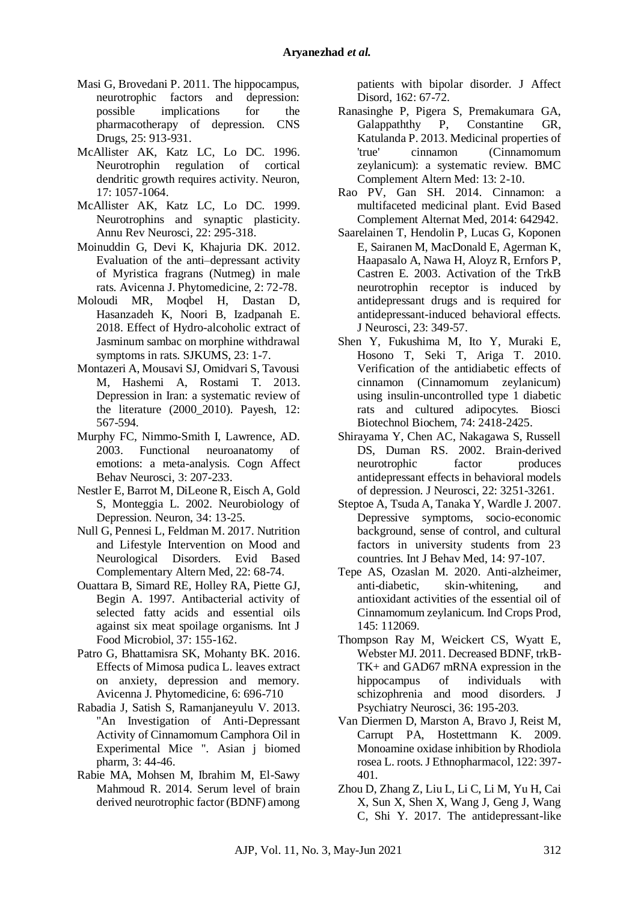- Masi G, Brovedani P. 2011. The hippocampus, neurotrophic factors and depression: possible implications for the pharmacotherapy of depression. CNS Drugs, 25: 913-931.
- McAllister AK, Katz LC, Lo DC. 1996. Neurotrophin regulation of cortical dendritic growth requires activity. Neuron, 17: 1057-1064.
- McAllister AK, Katz LC, Lo DC. 1999. Neurotrophins and synaptic plasticity. Annu Rev Neurosci, 22: 295-318.
- Moinuddin G, Devi K, Khajuria DK. 2012. Evaluation of the anti–depressant activity of Myristica fragrans (Nutmeg) in male rats. Avicenna J. Phytomedicine, 2: 72-78.
- Moloudi MR, Moqbel H, Dastan D, Hasanzadeh K, Noori B, Izadpanah E. 2018. Effect of Hydro-alcoholic extract of Jasminum sambac on morphine withdrawal symptoms in rats. SJKUMS, 23: 1-7.
- Montazeri A, Mousavi SJ, Omidvari S, Tavousi M, Hashemi A, Rostami T. 2013. Depression in Iran: a systematic review of the literature (2000\_2010). Payesh, 12: 567-594.
- Murphy FC, Nimmo-Smith I, Lawrence, AD. 2003. Functional neuroanatomy of emotions: a meta-analysis. Cogn Affect Behav Neurosci, 3: 207-233.
- Nestler E, Barrot M, DiLeone R, Eisch A, Gold S, Monteggia L. 2002. Neurobiology of Depression. Neuron, 34: 13-25.
- Null G, Pennesi L, Feldman M. 2017. Nutrition and Lifestyle Intervention on Mood and Neurological Disorders. Evid Based Complementary Altern Med, 22: 68-74.
- Ouattara B, Simard RE, Holley RA, Piette GJ, Begin A. 1997. Antibacterial activity of selected fatty acids and essential oils against six meat spoilage organisms. Int J Food Microbiol, 37: 155-162.
- Patro G, Bhattamisra SK, Mohanty BK. 2016. Effects of Mimosa pudica L. leaves extract on anxiety, depression and memory. Avicenna J. Phytomedicine, 6: 696-710
- Rabadia J, Satish S, Ramanjaneyulu V. 2013. "An Investigation of Anti-Depressant Activity of Cinnamomum Camphora Oil in Experimental Mice ". Asian j biomed pharm, 3: 44-46.
- Rabie MA, Mohsen M, Ibrahim M, El-Sawy Mahmoud R. 2014. Serum level of brain derived neurotrophic factor (BDNF) among

patients with bipolar disorder. J Affect Disord, 162: 67-72.

- Ranasinghe P, Pigera S, Premakumara GA, Galappaththy P, Constantine GR, Katulanda P. 2013. Medicinal properties of 'true' cinnamon (Cinnamomum zeylanicum): a systematic review. BMC Complement Altern Med: 13: 2-10.
- Rao PV, Gan SH. 2014. Cinnamon: a multifaceted medicinal plant. Evid Based Complement Alternat Med, 2014: 642942.
- Saarelainen T, Hendolin P, Lucas G, Koponen E, Sairanen M, MacDonald E, Agerman K, Haapasalo A, Nawa H, Aloyz R, Ernfors P, Castren E. 2003. Activation of the TrkB neurotrophin receptor is induced by antidepressant drugs and is required for antidepressant-induced behavioral effects. J Neurosci, 23: 349-57.
- Shen Y, Fukushima M, Ito Y, Muraki E, Hosono T, Seki T, Ariga T. 2010. Verification of the antidiabetic effects of cinnamon (Cinnamomum zeylanicum) using insulin-uncontrolled type 1 diabetic rats and cultured adipocytes. Biosci Biotechnol Biochem, 74: 2418-2425.
- Shirayama Y, Chen AC, Nakagawa S, Russell DS, Duman RS. 2002. Brain-derived neurotrophic factor produces antidepressant effects in behavioral models of depression. J Neurosci, 22: 3251-3261.
- Steptoe A, Tsuda A, Tanaka Y, Wardle J. 2007. Depressive symptoms, socio-economic background, sense of control, and cultural factors in university students from 23 countries. Int J Behav Med, 14: 97-107.
- Tepe AS, Ozaslan M. 2020. Anti-alzheimer, anti-diabetic, skin-whitening, and antioxidant activities of the essential oil of Cinnamomum zeylanicum. Ind Crops Prod, 145: 112069.
- Thompson Ray M, Weickert CS, Wyatt E, Webster MJ. 2011. Decreased BDNF, trkB-TK+ and GAD67 mRNA expression in the hippocampus of individuals with schizophrenia and mood disorders. J Psychiatry Neurosci, 36: 195-203.
- Van Diermen D, Marston A, Bravo J, Reist M, Carrupt PA, Hostettmann K. 2009. Monoamine oxidase inhibition by Rhodiola rosea L. roots. J Ethnopharmacol, 122: 397- 401.
- Zhou D, Zhang Z, Liu L, Li C, Li M, Yu H, Cai X, Sun X, Shen X, Wang J, Geng J, Wang C, Shi Y. 2017. The antidepressant-like